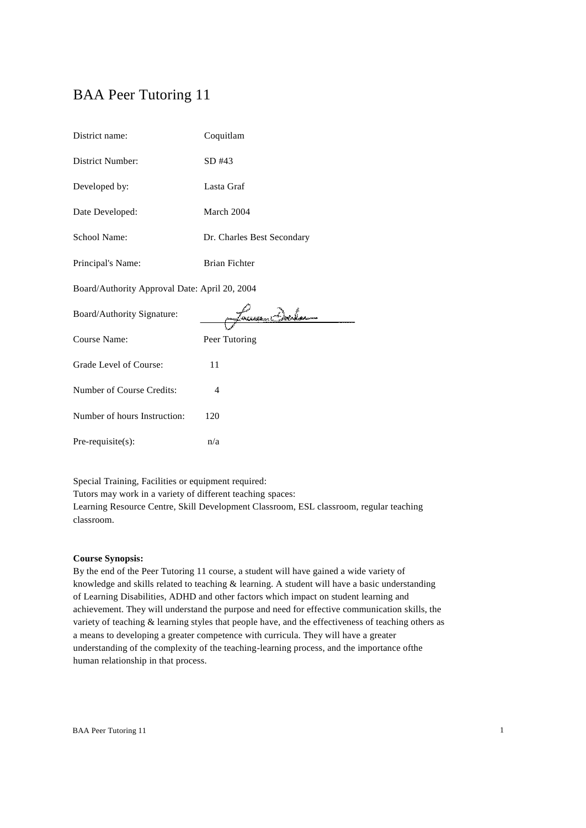# BAA Peer Tutoring 11

| District name:                                | Coquitlam                  |  |
|-----------------------------------------------|----------------------------|--|
| <b>District Number:</b>                       | SD #43                     |  |
| Developed by:                                 | Lasta Graf                 |  |
| Date Developed:                               | March 2004                 |  |
| School Name:                                  | Dr. Charles Best Secondary |  |
| Principal's Name:                             | <b>Brian Fichter</b>       |  |
| Board/Authority Approval Date: April 20, 2004 |                            |  |
|                                               |                            |  |
| Board/Authority Signature:                    | ussan i Berko              |  |
| Course Name:                                  | Peer Tutoring              |  |
| Grade Level of Course:                        | 11                         |  |
| Number of Course Credits:                     | $\overline{4}$             |  |
| Number of hours Instruction:                  | 120                        |  |
| Pre-requisite(s):                             | n/a                        |  |

Special Training, Facilities or equipment required:

Tutors may work in a variety of different teaching spaces: Learning Resource Centre, Skill Development Classroom, ESL classroom, regular teaching

classroom.

## **Course Synopsis:**

By the end of the Peer Tutoring 11 course, a student will have gained a wide variety of knowledge and skills related to teaching & learning. A student will have a basic understanding of Learning Disabilities, ADHD and other factors which impact on student learning and achievement. They will understand the purpose and need for effective communication skills, the variety of teaching & learning styles that people have, and the effectiveness of teaching others as a means to developing a greater competence with curricula. They will have a greater understanding of the complexity of the teaching-learning process, and the importance ofthe human relationship in that process.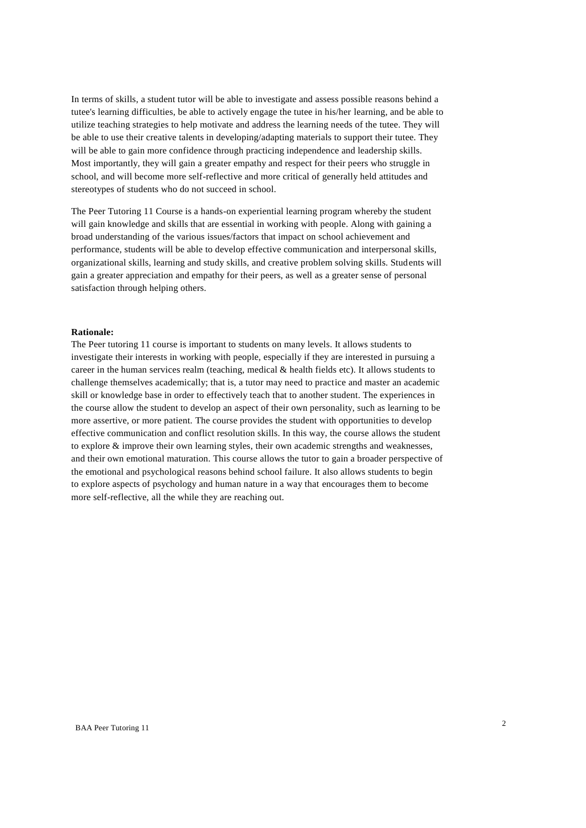In terms of skills, a student tutor will be able to investigate and assess possible reasons behind a tutee's learning difficulties, be able to actively engage the tutee in his/her learning, and be able to utilize teaching strategies to help motivate and address the learning needs of the tutee. They will be able to use their creative talents in developing/adapting materials to support their tutee. They will be able to gain more confidence through practicing independence and leadership skills. Most importantly, they will gain a greater empathy and respect for their peers who struggle in school, and will become more self-reflective and more critical of generally held attitudes and stereotypes of students who do not succeed in school.

The Peer Tutoring 11 Course is a hands-on experiential learning program whereby the student will gain knowledge and skills that are essential in working with people. Along with gaining a broad understanding of the various issues/factors that impact on school achievement and performance, students will be able to develop effective communication and interpersonal skills, organizational skills, learning and study skills, and creative problem solving skills. Students will gain a greater appreciation and empathy for their peers, as well as a greater sense of personal satisfaction through helping others.

#### **Rationale:**

The Peer tutoring 11 course is important to students on many levels. It allows students to investigate their interests in working with people, especially if they are interested in pursuing a career in the human services realm (teaching, medical & health fields etc). It allows students to challenge themselves academically; that is, a tutor may need to practice and master an academic skill or knowledge base in order to effectively teach that to another student. The experiences in the course allow the student to develop an aspect of their own personality, such as learning to be more assertive, or more patient. The course provides the student with opportunities to develop effective communication and conflict resolution skills. In this way, the course allows the student to explore & improve their own learning styles, their own academic strengths and weaknesses, and their own emotional maturation. This course allows the tutor to gain a broader perspective of the emotional and psychological reasons behind school failure. It also allows students to begin to explore aspects of psychology and human nature in a way that encourages them to become more self-reflective, all the while they are reaching out.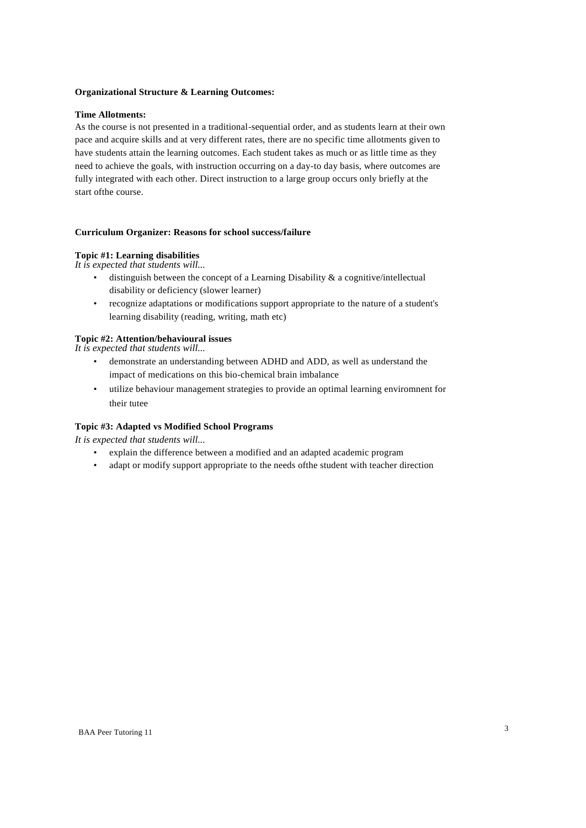#### **Organizational Structure & Learning Outcomes:**

### **Time Allotments:**

As the course is not presented in a traditional-sequential order, and as students learn at their own pace and acquire skills and at very different rates, there are no specific time allotments given to have students attain the learning outcomes. Each student takes as much or as little time as they need to achieve the goals, with instruction occurring on a day-to day basis, where outcomes are fully integrated with each other. Direct instruction to a large group occurs only briefly at the start ofthe course.

## **Curriculum Organizer: Reasons for school success/failure**

# **Topic #1: Learning disabilities**

*It is expected that students will...*

- $\bullet$  distinguish between the concept of a Learning Disability & a cognitive/intellectual disability or deficiency (slower learner)
- recognize adaptations or modifications support appropriate to the nature of a student's learning disability (reading, writing, math etc)

## **Topic #2: Attention/behavioural issues**

*It is expected that students will...*

- demonstrate an understanding between ADHD and ADD, as well as understand the impact of medications on this bio-chemical brain imbalance
- utilize behaviour management strategies to provide an optimal learning enviromnent for their tutee

# **Topic #3: Adapted vs Modified School Programs**

*It is expected that students will...*

- explain the difference between a modified and an adapted academic program
- adapt or modify support appropriate to the needs ofthe student with teacher direction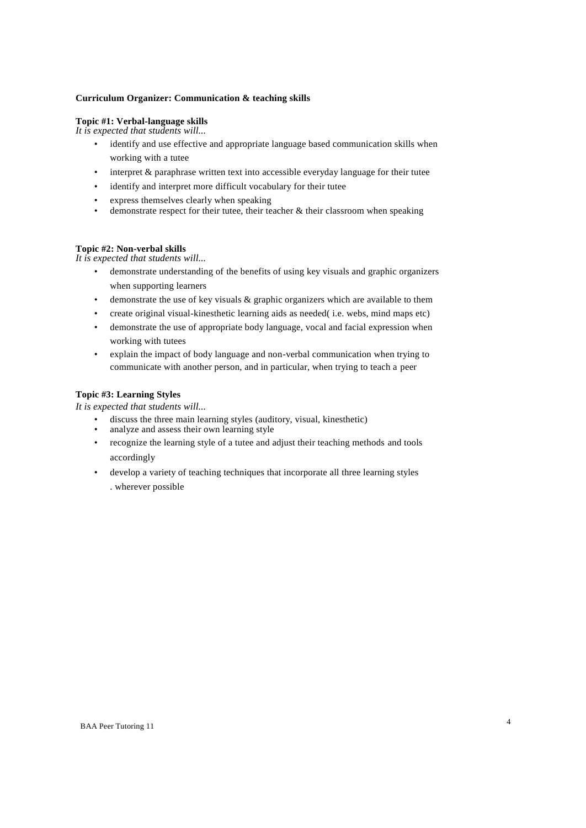## **Curriculum Organizer: Communication & teaching skills**

## **Topic #1: Verbal-language skills**

*It is expected that students will...*

- identify and use effective and appropriate language based communication skills when working with a tutee
- interpret  $\&$  paraphrase written text into accessible everyday language for their tutee
- identify and interpret more difficult vocabulary for their tutee
- express themselves clearly when speaking<br> **•** demonstrate respect for their type their te
- demonstrate respect for their tutee, their teacher  $\&$  their classroom when speaking

#### **Topic #2: Non-verbal skills**

*It is expected that students will...*

- demonstrate understanding of the benefits of using key visuals and graphic organizers when supporting learners
- demonstrate the use of key visuals & graphic organizers which are available to them
- create original visual-kinesthetic learning aids as needed( i.e. webs, mind maps etc)
- demonstrate the use of appropriate body language, vocal and facial expression when working with tutees
- explain the impact of body language and non-verbal communication when trying to communicate with another person, and in particular, when trying to teach a peer

# **Topic #3: Learning Styles**

*It is expected that students will...*

- discuss the three main learning styles (auditory, visual, kinesthetic)
- analyze and assess their own learning style
- recognize the learning style of a tutee and adjust their teaching methods and tools accordingly
- develop a variety of teaching techniques that incorporate all three learning styles . wherever possible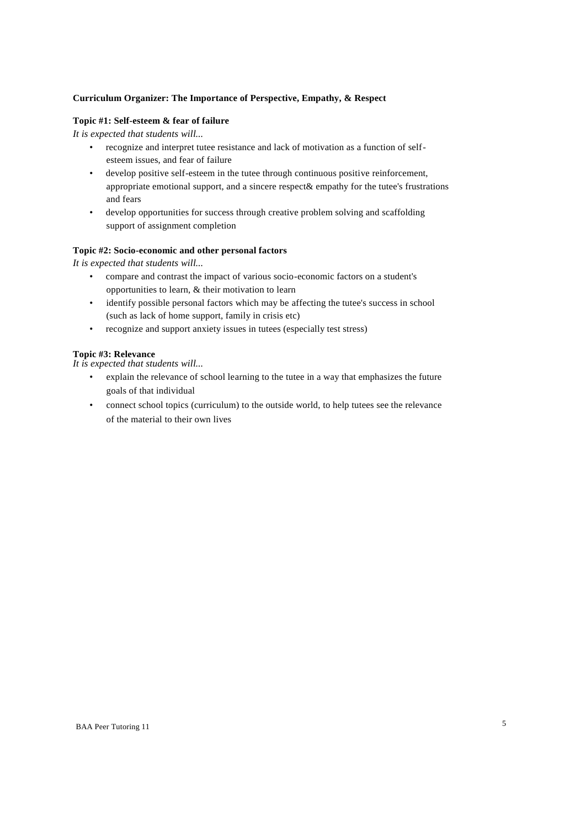# **Curriculum Organizer: The Importance of Perspective, Empathy, & Respect**

## **Topic #1: Self-esteem & fear of failure**

*It is expected that students will...*

- recognize and interpret tutee resistance and lack of motivation as a function of selfesteem issues, and fear of failure
- develop positive self-esteem in the tutee through continuous positive reinforcement, appropriate emotional support, and a sincere respect& empathy for the tutee's frustrations and fears
- develop opportunities for success through creative problem solving and scaffolding support of assignment completion

## **Topic #2: Socio-economic and other personal factors**

*It is expected that students will...*

- compare and contrast the impact of various socio-economic factors on a student's opportunities to learn, & their motivation to learn
- identify possible personal factors which may be affecting the tutee's success in school (such as lack of home support, family in crisis etc)
- recognize and support anxiety issues in tutees (especially test stress)

## **Topic #3: Relevance**

*It is expected that students will...*

- explain the relevance of school learning to the tutee in a way that emphasizes the future goals of that individual
- connect school topics (curriculum) to the outside world, to help tutees see the relevance of the material to their own lives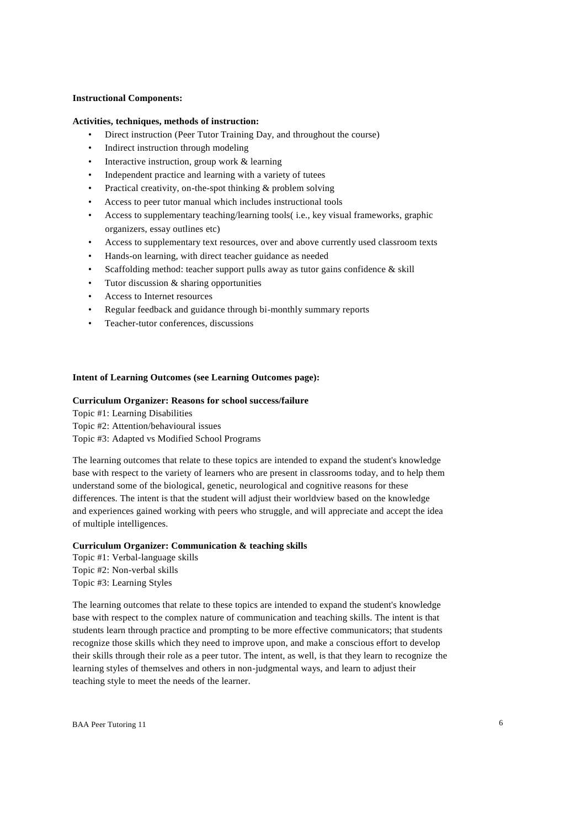#### **Instructional Components:**

#### **Activities, techniques, methods of instruction:**

- Direct instruction (Peer Tutor Training Day, and throughout the course)
- Indirect instruction through modeling
- Interactive instruction, group work & learning
- Independent practice and learning with a variety of tutees
- Practical creativity, on-the-spot thinking  $&$  problem solving
- Access to peer tutor manual which includes instructional tools
- Access to supplementary teaching/learning tools( i.e., key visual frameworks, graphic organizers, essay outlines etc)
- Access to supplementary text resources, over and above currently used classroom texts
- Hands-on learning, with direct teacher guidance as needed
- Scaffolding method: teacher support pulls away as tutor gains confidence & skill
- Tutor discussion & sharing opportunities
- Access to Internet resources
- Regular feedback and guidance through bi-monthly summary reports
- Teacher-tutor conferences, discussions

#### **Intent of Learning Outcomes (see Learning Outcomes page):**

#### **Curriculum Organizer: Reasons for school success/failure**

Topic #1: Learning Disabilities

Topic #2: Attention/behavioural issues

Topic #3: Adapted vs Modified School Programs

The learning outcomes that relate to these topics are intended to expand the student's knowledge base with respect to the variety of learners who are present in classrooms today, and to help them understand some of the biological, genetic, neurological and cognitive reasons for these differences. The intent is that the student will adjust their worldview based on the knowledge and experiences gained working with peers who struggle, and will appreciate and accept the idea of multiple intelligences.

## **Curriculum Organizer: Communication & teaching skills**

Topic #1: Verbal-language skills Topic #2: Non-verbal skills Topic #3: Learning Styles

The learning outcomes that relate to these topics are intended to expand the student's knowledge base with respect to the complex nature of communication and teaching skills. The intent is that students learn through practice and prompting to be more effective communicators; that students recognize those skills which they need to improve upon, and make a conscious effort to develop their skills through their role as a peer tutor. The intent, as well, is that they learn to recognize the learning styles of themselves and others in non-judgmental ways, and learn to adjust their teaching style to meet the needs of the learner.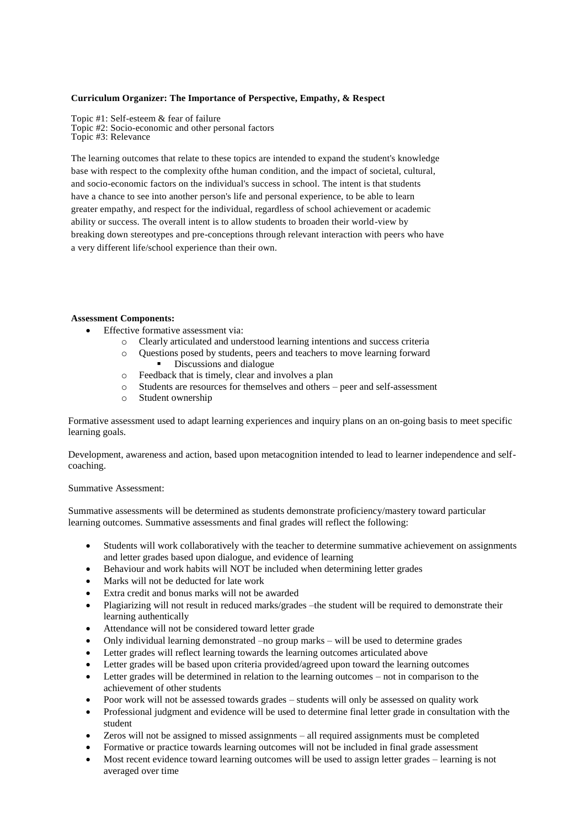## **Curriculum Organizer: The Importance of Perspective, Empathy, & Respect**

Topic #1: Self-esteem & fear of failure Topic #2: Socio-economic and other personal factors Topic #3: Relevance

The learning outcomes that relate to these topics are intended to expand the student's knowledge base with respect to the complexity ofthe human condition, and the impact of societal, cultural, and socio-economic factors on the individual's success in school. The intent is that students have a chance to see into another person's life and personal experience, to be able to learn greater empathy, and respect for the individual, regardless of school achievement or academic ability or success. The overall intent is to allow students to broaden their world-view by breaking down stereotypes and pre-conceptions through relevant interaction with peers who have a very different life/school experience than their own.

## **Assessment Components:**

- Effective formative assessment via:
	- o Clearly articulated and understood learning intentions and success criteria
	- o Questions posed by students, peers and teachers to move learning forward
		- **Discussions and dialogue**
	- o Feedback that is timely, clear and involves a plan
	- o Students are resources for themselves and others peer and self-assessment
	- o Student ownership

Formative assessment used to adapt learning experiences and inquiry plans on an on-going basis to meet specific learning goals.

Development, awareness and action, based upon metacognition intended to lead to learner independence and selfcoaching.

#### Summative Assessment:

Summative assessments will be determined as students demonstrate proficiency/mastery toward particular learning outcomes. Summative assessments and final grades will reflect the following:

- Students will work collaboratively with the teacher to determine summative achievement on assignments and letter grades based upon dialogue, and evidence of learning
- Behaviour and work habits will NOT be included when determining letter grades
- Marks will not be deducted for late work
- Extra credit and bonus marks will not be awarded
- Plagiarizing will not result in reduced marks/grades –the student will be required to demonstrate their learning authentically
- Attendance will not be considered toward letter grade
- Only individual learning demonstrated –no group marks will be used to determine grades
- Letter grades will reflect learning towards the learning outcomes articulated above
- Letter grades will be based upon criteria provided/agreed upon toward the learning outcomes
- Letter grades will be determined in relation to the learning outcomes not in comparison to the achievement of other students
- Poor work will not be assessed towards grades students will only be assessed on quality work
- Professional judgment and evidence will be used to determine final letter grade in consultation with the student
- Zeros will not be assigned to missed assignments all required assignments must be completed
- Formative or practice towards learning outcomes will not be included in final grade assessment
- Most recent evidence toward learning outcomes will be used to assign letter grades learning is not averaged over time